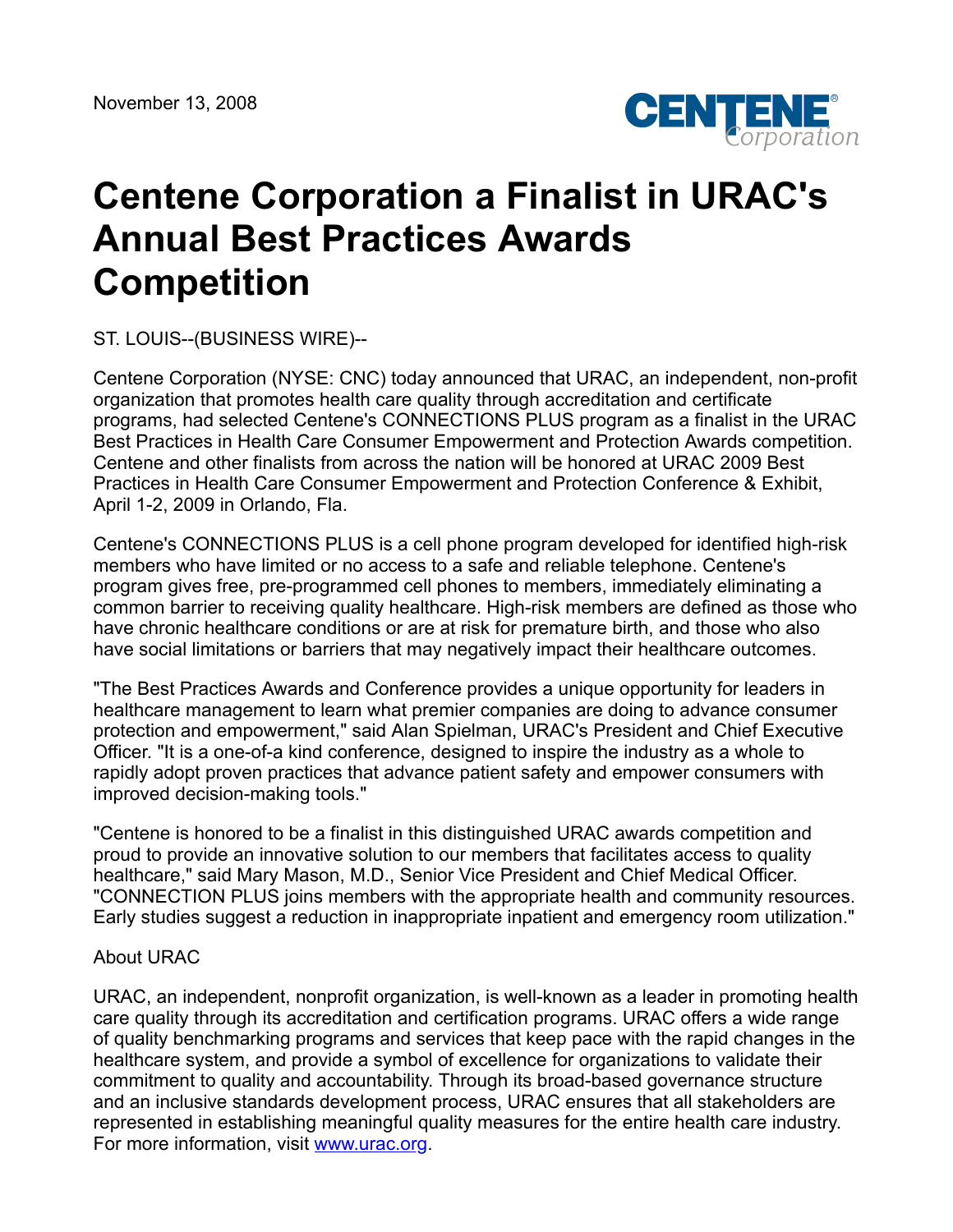

## **Centene Corporation a Finalist in URAC's Annual Best Practices Awards Competition**

ST. LOUIS--(BUSINESS WIRE)--

Centene Corporation (NYSE: CNC) today announced that URAC, an independent, non-profit organization that promotes health care quality through accreditation and certificate programs, had selected Centene's CONNECTIONS PLUS program as a finalist in the URAC Best Practices in Health Care Consumer Empowerment and Protection Awards competition. Centene and other finalists from across the nation will be honored at URAC 2009 Best Practices in Health Care Consumer Empowerment and Protection Conference & Exhibit, April 1-2, 2009 in Orlando, Fla.

Centene's CONNECTIONS PLUS is a cell phone program developed for identified high-risk members who have limited or no access to a safe and reliable telephone. Centene's program gives free, pre-programmed cell phones to members, immediately eliminating a common barrier to receiving quality healthcare. High-risk members are defined as those who have chronic healthcare conditions or are at risk for premature birth, and those who also have social limitations or barriers that may negatively impact their healthcare outcomes.

"The Best Practices Awards and Conference provides a unique opportunity for leaders in healthcare management to learn what premier companies are doing to advance consumer protection and empowerment," said Alan Spielman, URAC's President and Chief Executive Officer. "It is a one-of-a kind conference, designed to inspire the industry as a whole to rapidly adopt proven practices that advance patient safety and empower consumers with improved decision-making tools."

"Centene is honored to be a finalist in this distinguished URAC awards competition and proud to provide an innovative solution to our members that facilitates access to quality healthcare," said Mary Mason, M.D., Senior Vice President and Chief Medical Officer. "CONNECTION PLUS joins members with the appropriate health and community resources. Early studies suggest a reduction in inappropriate inpatient and emergency room utilization."

## About URAC

URAC, an independent, nonprofit organization, is well-known as a leader in promoting health care quality through its accreditation and certification programs. URAC offers a wide range of quality benchmarking programs and services that keep pace with the rapid changes in the healthcare system, and provide a symbol of excellence for organizations to validate their commitment to quality and accountability. Through its broad-based governance structure and an inclusive standards development process, URAC ensures that all stakeholders are represented in establishing meaningful quality measures for the entire health care industry. For more information, visit [www.urac.org](http://www.urac.org/).